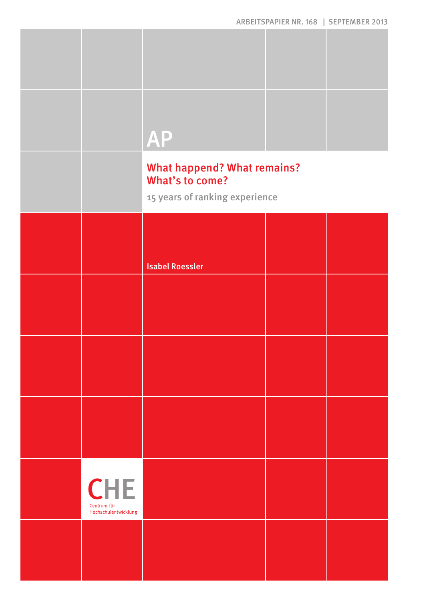|                                                   | <b>AP</b>              |                                                                      |  |
|---------------------------------------------------|------------------------|----------------------------------------------------------------------|--|
|                                                   | What's to come?        | <b>What happend? What remains?</b><br>15 years of ranking experience |  |
|                                                   | <b>Isabel Roessler</b> |                                                                      |  |
|                                                   |                        |                                                                      |  |
|                                                   |                        |                                                                      |  |
|                                                   |                        |                                                                      |  |
| <b>CHE</b><br>Centrum für<br>Hochschulentwicklung |                        |                                                                      |  |
|                                                   |                        |                                                                      |  |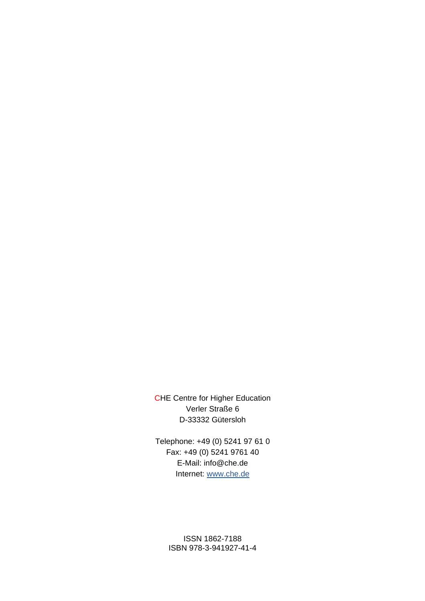CHE Centre for Higher Education Verler Straße 6 D-33332 Gütersloh

Telephone: +49 (0) 5241 97 61 0 Fax: +49 (0) 5241 9761 40 E-Mail: info@che.de Internet: www.che.de

> ISSN 1862-7188 ISBN 978-3-941927-41-4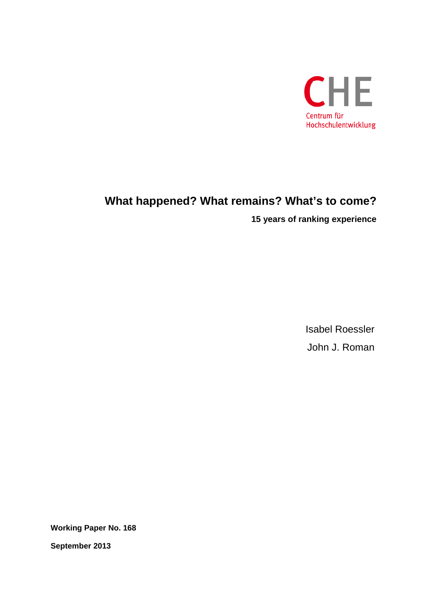

## **What happened? What remains? What's to come?**

**15 years of ranking experience**

Isabel Roessler John J. Roman

**Working Paper No. 168** 

**September 2013**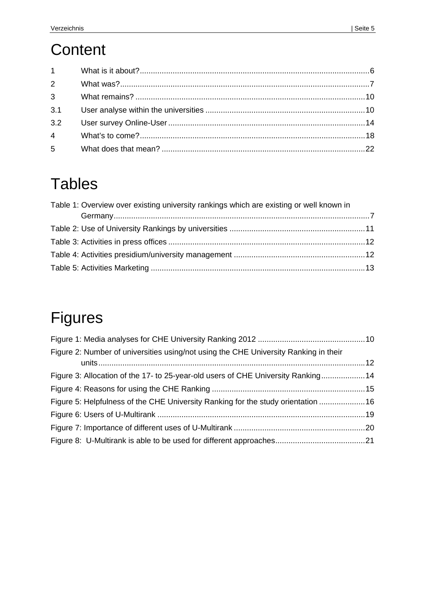# **Content**

| $1 \quad \blacksquare$ |  |
|------------------------|--|

# **Tables**

| Table 1: Overview over existing university rankings which are existing or well known in |  |
|-----------------------------------------------------------------------------------------|--|
|                                                                                         |  |
|                                                                                         |  |
|                                                                                         |  |
|                                                                                         |  |
|                                                                                         |  |

# Figures

| Figure 2: Number of universities using/not using the CHE University Ranking in their |  |
|--------------------------------------------------------------------------------------|--|
| Figure 3: Allocation of the 17- to 25-year-old users of CHE University Ranking14     |  |
|                                                                                      |  |
| Figure 5: Helpfulness of the CHE University Ranking for the study orientation  16    |  |
|                                                                                      |  |
|                                                                                      |  |
|                                                                                      |  |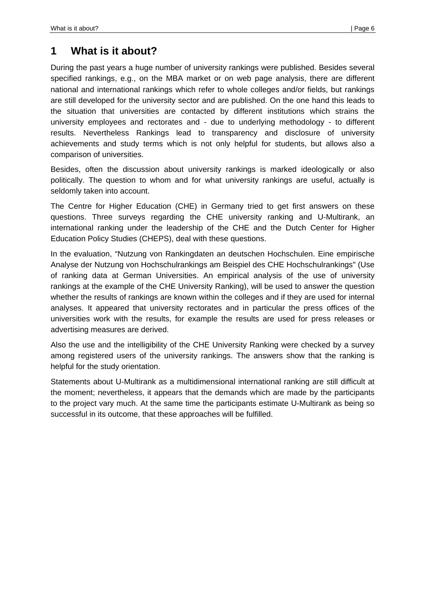## **1 What is it about?**

During the past years a huge number of university rankings were published. Besides several specified rankings, e.g., on the MBA market or on web page analysis, there are different national and international rankings which refer to whole colleges and/or fields, but rankings are still developed for the university sector and are published. On the one hand this leads to the situation that universities are contacted by different institutions which strains the university employees and rectorates and - due to underlying methodology - to different results. Nevertheless Rankings lead to transparency and disclosure of university achievements and study terms which is not only helpful for students, but allows also a comparison of universities.

Besides, often the discussion about university rankings is marked ideologically or also politically. The question to whom and for what university rankings are useful, actually is seldomly taken into account.

The Centre for Higher Education (CHE) in Germany tried to get first answers on these questions. Three surveys regarding the CHE university ranking and U-Multirank, an international ranking under the leadership of the CHE and the Dutch Center for Higher Education Policy Studies (CHEPS), deal with these questions.

In the evaluation, "Nutzung von Rankingdaten an deutschen Hochschulen. Eine empirische Analyse der Nutzung von Hochschulrankings am Beispiel des CHE Hochschulrankings" (Use of ranking data at German Universities. An empirical analysis of the use of university rankings at the example of the CHE University Ranking), will be used to answer the question whether the results of rankings are known within the colleges and if they are used for internal analyses. It appeared that university rectorates and in particular the press offices of the universities work with the results, for example the results are used for press releases or advertising measures are derived.

Also the use and the intelligibility of the CHE University Ranking were checked by a survey among registered users of the university rankings. The answers show that the ranking is helpful for the study orientation.

Statements about U-Multirank as a multidimensional international ranking are still difficult at the moment; nevertheless, it appears that the demands which are made by the participants to the project vary much. At the same time the participants estimate U-Multirank as being so successful in its outcome, that these approaches will be fulfilled.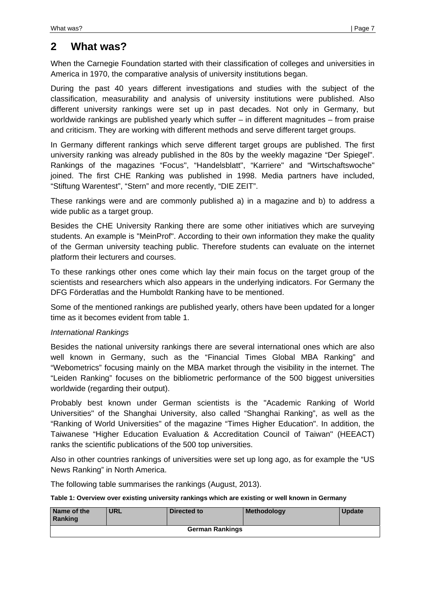## **2 What was?**

When the Carnegie Foundation started with their classification of colleges and universities in America in 1970, the comparative analysis of university institutions began.

During the past 40 years different investigations and studies with the subject of the classification, measurability and analysis of university institutions were published. Also different university rankings were set up in past decades. Not only in Germany, but worldwide rankings are published yearly which suffer – in different magnitudes – from praise and criticism. They are working with different methods and serve different target groups.

In Germany different rankings which serve different target groups are published. The first university ranking was already published in the 80s by the weekly magazine "Der Spiegel". Rankings of the magazines "Focus", "Handelsblatt", "Karriere" and "Wirtschaftswoche" joined. The first CHE Ranking was published in 1998. Media partners have included, "Stiftung Warentest", "Stern" and more recently, "DIE ZEIT".

These rankings were and are commonly published a) in a magazine and b) to address a wide public as a target group.

Besides the CHE University Ranking there are some other initiatives which are surveying students. An example is "MeinProf". According to their own information they make the quality of the German university teaching public. Therefore students can evaluate on the internet platform their lecturers and courses.

To these rankings other ones come which lay their main focus on the target group of the scientists and researchers which also appears in the underlying indicators. For Germany the DFG Förderatlas and the Humboldt Ranking have to be mentioned.

Some of the mentioned rankings are published yearly, others have been updated for a longer time as it becomes evident from table 1.

### *International Rankings*

Besides the national university rankings there are several international ones which are also well known in Germany, such as the "Financial Times Global MBA Ranking" and "Webometrics" focusing mainly on the MBA market through the visibility in the internet. The "Leiden Ranking" focuses on the bibliometric performance of the 500 biggest universities worldwide (regarding their output).

Probably best known under German scientists is the "Academic Ranking of World Universities" of the Shanghai University, also called "Shanghai Ranking", as well as the "Ranking of World Universities" of the magazine "Times Higher Education". In addition, the Taiwanese "Higher Education Evaluation & Accreditation Council of Taiwan" (HEEACT) ranks the scientific publications of the 500 top universities.

Also in other countries rankings of universities were set up long ago, as for example the "US News Ranking" in North America.

The following table summarises the rankings (August, 2013).

### **Table 1: Overview over existing university rankings which are existing or well known in Germany**

| Name of the<br>  Ranking | <b>URL</b> | Directed to            | Methodology | <b>Update</b> |
|--------------------------|------------|------------------------|-------------|---------------|
|                          |            | <b>German Rankings</b> |             |               |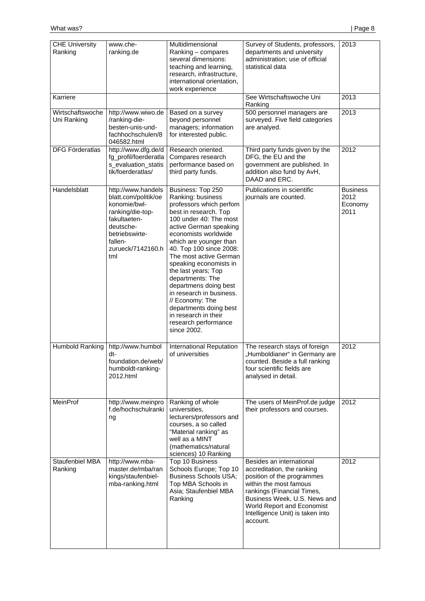| <b>CHE University</b><br>Ranking | www.che-<br>ranking.de                                                                                                                                               | Multidimensional<br>Ranking - compares<br>several dimensions:<br>teaching and learning,<br>research, infrastructure,<br>international orientation,<br>work experience                                                                                                                                                                                                                                                                                                                       | Survey of Students, professors,<br>departments and university<br>administration; use of official<br>statistical data                                                                                                                                       | 2013                                       |
|----------------------------------|----------------------------------------------------------------------------------------------------------------------------------------------------------------------|---------------------------------------------------------------------------------------------------------------------------------------------------------------------------------------------------------------------------------------------------------------------------------------------------------------------------------------------------------------------------------------------------------------------------------------------------------------------------------------------|------------------------------------------------------------------------------------------------------------------------------------------------------------------------------------------------------------------------------------------------------------|--------------------------------------------|
| Karriere                         |                                                                                                                                                                      |                                                                                                                                                                                                                                                                                                                                                                                                                                                                                             | See Wirtschaftswoche Uni<br>Ranking                                                                                                                                                                                                                        | 2013                                       |
| Wirtschaftswoche<br>Uni Ranking  | http://www.wiwo.de<br>/ranking-die-<br>besten-unis-und-<br>fachhochschulen/8<br>046582.html                                                                          | Based on a survey<br>beyond personnel<br>managers; information<br>for interested public.                                                                                                                                                                                                                                                                                                                                                                                                    | 500 personnel managers are<br>surveyed. Five field categories<br>are analyed.                                                                                                                                                                              | 2013                                       |
| <b>DFG Förderatlas</b>           | http://www.dfg.de/d<br>fg_profil/foerderatla<br>s_evaluation_statis<br>tik/foerderatlas/                                                                             | Research oriented.<br>Compares research<br>performance based on<br>third party funds.                                                                                                                                                                                                                                                                                                                                                                                                       | Third party funds given by the<br>DFG, the EU and the<br>government are published. In<br>addition also fund by AvH,<br>DAAD and ERC.                                                                                                                       | 2012                                       |
| Handelsblatt                     | http://www.handels<br>blatt.com/politik/oe<br>konomie/bwl-<br>ranking/die-top-<br>fakultaeten-<br>deutsche-<br>betriebswirte-<br>fallen-<br>zurueck/7142160.h<br>tml | Business: Top 250<br>Ranking: business<br>professors which perfom<br>best in research. Top<br>100 under 40: The most<br>active German speaking<br>economists worldwide<br>which are younger than<br>40. Top 100 since 2008:<br>The most active German<br>speaking economists in<br>the last years; Top<br>departments: The<br>departmens doing best<br>in research in business.<br>// Economy: The<br>departments doing best<br>in research in their<br>research performance<br>since 2002. | Publications in scientific<br>journals are counted.                                                                                                                                                                                                        | <b>Business</b><br>2012<br>Economy<br>2011 |
| Humbold Ranking                  | http://www.humbol<br>dt-<br>foundation.de/web/<br>humboldt-ranking-<br>2012.html                                                                                     | International Reputation<br>of universities                                                                                                                                                                                                                                                                                                                                                                                                                                                 | The research stays of foreign<br>"Humboldianer" in Germany are<br>counted. Beside a full ranking<br>four scientific fields are<br>analysed in detail.                                                                                                      | 2012                                       |
| MeinProf                         | http://www.meinpro<br>f.de/hochschulranki<br>ng                                                                                                                      | Ranking of whole<br>universities,<br>lecturers/professors and<br>courses, a so called<br>"Material ranking" as<br>well as a MINT<br>(mathematics/natural<br>sciences) 10 Ranking                                                                                                                                                                                                                                                                                                            | The users of MeinProf.de judge<br>their professors and courses.                                                                                                                                                                                            | 2012                                       |
| Staufenbiel MBA<br>Ranking       | http://www.mba-<br>master.de/mba/ran<br>kings/staufenbiel-<br>mba-ranking.html                                                                                       | Top 10 Business<br>Schools Europe; Top 10<br><b>Business Schools USA;</b><br>Top MBA Schools in<br>Asia; Staufenbiel MBA<br>Ranking                                                                                                                                                                                                                                                                                                                                                         | Besides an international<br>accreditation, the ranking<br>position of the programmes<br>within the most famous<br>rankings (Financial Times,<br>Business Week, U.S. News and<br>World Report and Economist<br>Intelligence Unit) is taken into<br>account. | 2012                                       |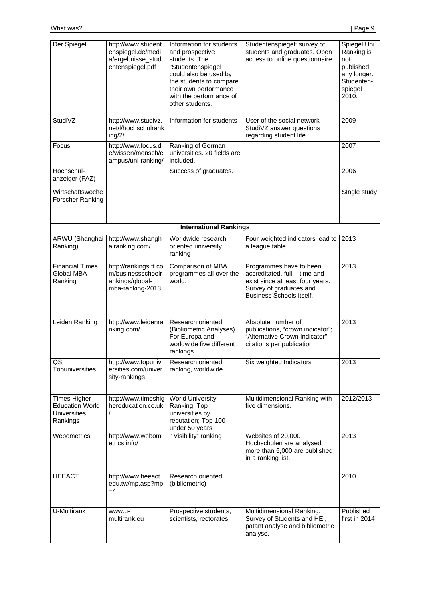| Der Spiegel                                                               | http://www.student<br>enspiegel.de/medi<br>a/ergebnisse_stud<br>entenspiegel.pdf  | Information for students<br>and prospective<br>students. The<br>"Studentenspiegel"<br>could also be used by<br>the students to compare<br>their own performance<br>with the performance of<br>other students. | Studentenspiegel: survey of<br>students and graduates. Open<br>access to online questionnaire.                                                      | Spiegel Uni<br>Ranking is<br>not<br>published<br>any longer.<br>Studenten-<br>spiegel<br>2010. |
|---------------------------------------------------------------------------|-----------------------------------------------------------------------------------|---------------------------------------------------------------------------------------------------------------------------------------------------------------------------------------------------------------|-----------------------------------------------------------------------------------------------------------------------------------------------------|------------------------------------------------------------------------------------------------|
| StudiVZ                                                                   | http://www.studivz.<br>net/l/hochschulrank<br>ing/2/                              | Information for students                                                                                                                                                                                      | User of the social network<br>StudiVZ answer questions<br>regarding student life.                                                                   | 2009                                                                                           |
| Focus                                                                     | http://www.focus.d<br>e/wissen/mensch/c<br>ampus/uni-ranking/                     | Ranking of German<br>universities. 20 fields are<br>included.                                                                                                                                                 |                                                                                                                                                     | 2007                                                                                           |
| Hochschul-<br>anzeiger (FAZ)                                              |                                                                                   | Success of graduates.                                                                                                                                                                                         |                                                                                                                                                     | 2006                                                                                           |
| Wirtschaftswoche<br>Forscher Ranking                                      |                                                                                   |                                                                                                                                                                                                               |                                                                                                                                                     | Single study                                                                                   |
|                                                                           |                                                                                   | <b>International Rankings</b>                                                                                                                                                                                 |                                                                                                                                                     |                                                                                                |
| ARWU (Shanghai<br>Ranking)                                                | http://www.shangh<br>airanking.com/                                               | Worldwide research<br>oriented university<br>ranking                                                                                                                                                          | Four weighted indicators lead to<br>a league table.                                                                                                 | 2013                                                                                           |
| <b>Financial Times</b><br>Global MBA<br>Ranking                           | http://rankings.ft.co<br>m/businessschoolr<br>ankings/global-<br>mba-ranking-2013 | Comparison of MBA<br>programmes all over the<br>world.                                                                                                                                                        | Programmes have to been<br>accreditated, full - time and<br>exist since at least four years.<br>Survey of graduates and<br>Business Schools itself. | 2013                                                                                           |
| Leiden Ranking                                                            | http://www.leidenra<br>nking.com/                                                 | Research oriented<br>(Bibliometric Analyses).<br>For Europa and<br>worldwide five different<br>rankings.                                                                                                      | Absolute number of<br>publications, "crown indicator";<br>"Alternative Crown Indicator";<br>citations per publication                               | 2013                                                                                           |
| $\overline{\text{QS}}$<br>Topuniversities                                 | http://www.topuniv<br>ersities.com/univer<br>sity-rankings                        | Research oriented<br>ranking, worldwide.                                                                                                                                                                      | Six weighted Indicators                                                                                                                             | 2013                                                                                           |
| Times Higher<br><b>Education World</b><br><b>Universities</b><br>Rankings | http://www.timeshig<br>hereducation.co.uk                                         | <b>World University</b><br>Ranking; Top<br>universities by<br>reputation; Top 100<br>under 50 years                                                                                                           | Multidimensional Ranking with<br>five dimensions.                                                                                                   | 2012/2013                                                                                      |
| Webometrics                                                               | http://www.webom<br>etrics.info/                                                  | " Visibility" ranking                                                                                                                                                                                         | Websites of 20,000<br>Hochschulen are analysed,<br>more than 5,000 are published<br>in a ranking list.                                              | 2013                                                                                           |
| <b>HEEACT</b>                                                             | http://www.heeact.<br>edu.tw/mp.asp?mp<br>$=4$                                    | Research oriented<br>(bibliometric)                                                                                                                                                                           |                                                                                                                                                     | 2010                                                                                           |
| U-Multirank                                                               | www.u-<br>multirank.eu                                                            | Prospective students,<br>scientists, rectorates                                                                                                                                                               | Multidimensional Ranking.<br>Survey of Students and HEI,<br>patant analyse and bibliometric<br>analyse.                                             | Published<br>first in 2014                                                                     |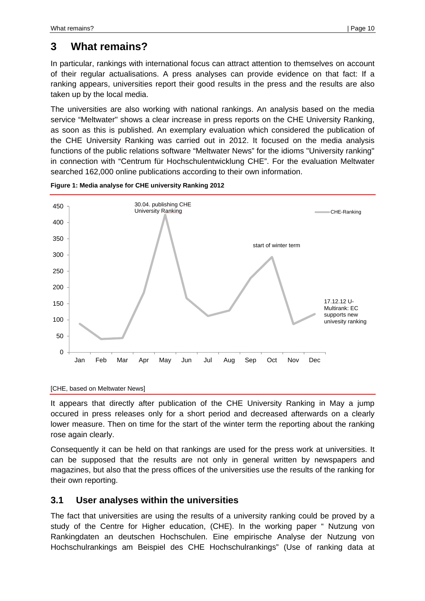## **3 What remains?**

In particular, rankings with international focus can attract attention to themselves on account of their regular actualisations. A press analyses can provide evidence on that fact: If a ranking appears, universities report their good results in the press and the results are also taken up by the local media.

The universities are also working with national rankings. An analysis based on the media service "Meltwater" shows a clear increase in press reports on the CHE University Ranking, as soon as this is published. An exemplary evaluation which considered the publication of the CHE University Ranking was carried out in 2012. It focused on the media analysis functions of the public relations software "Meltwater News" for the idioms "University ranking" in connection with "Centrum für Hochschulentwicklung CHE". For the evaluation Meltwater searched 162,000 online publications according to their own information.





It appears that directly after publication of the CHE University Ranking in May a jump occured in press releases only for a short period and decreased afterwards on a clearly lower measure. Then on time for the start of the winter term the reporting about the ranking rose again clearly.

Consequently it can be held on that rankings are used for the press work at universities. It can be supposed that the results are not only in general written by newspapers and magazines, but also that the press offices of the universities use the results of the ranking for their own reporting.

### **3.1 User analyses within the universities**

The fact that universities are using the results of a university ranking could be proved by a study of the Centre for Higher education, (CHE). In the working paper " Nutzung von Rankingdaten an deutschen Hochschulen. Eine empirische Analyse der Nutzung von Hochschulrankings am Beispiel des CHE Hochschulrankings" (Use of ranking data at

<sup>[</sup>CHE, based on Meltwater News]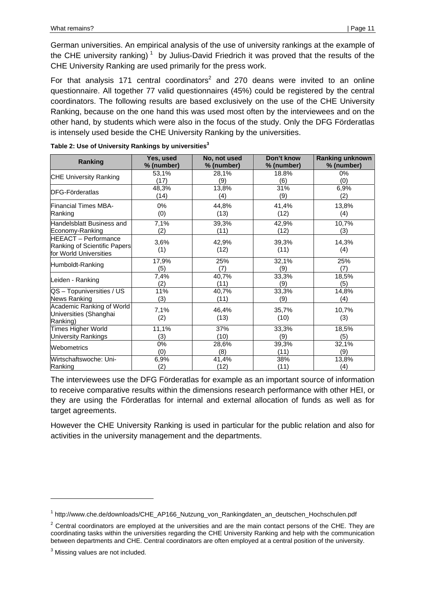German universities. An empirical analysis of the use of university rankings at the example of the CHE university ranking)<sup>1</sup> by Julius-David Friedrich it was proved that the results of the CHE University Ranking are used primarily for the press work.

For that analysis 171 central coordinators<sup>2</sup> and 270 deans were invited to an online questionnaire. All together 77 valid questionnaires (45%) could be registered by the central coordinators. The following results are based exclusively on the use of the CHE University Ranking, because on the one hand this was used most often by the interviewees and on the other hand, by students which were also in the focus of the study. Only the DFG Förderatlas is intensely used beside the CHE University Ranking by the universities.

| Ranking                                                                               | Yes, used   | No, not used  | Don't know    | <b>Ranking unknown</b> |
|---------------------------------------------------------------------------------------|-------------|---------------|---------------|------------------------|
|                                                                                       | % (number)  | % (number)    | % (number)    | % (number)             |
| <b>CHE University Ranking</b>                                                         | 53,1%       | 28,1%         | 18.8%         | 0%                     |
|                                                                                       | (17)        | (9)           | (6)           | (0)                    |
| <b>DFG-Förderatlas</b>                                                                | 48,3%       | 13,8%         | 31%           | 6,9%                   |
|                                                                                       | (14)        | (4)           | (9)           | (2)                    |
| <b>Financial Times MBA-</b>                                                           | 0%          | 44,8%         | 41,4%         | 13,8%                  |
| Ranking                                                                               | (0)         | (13)          | (12)          | (4)                    |
| Handelsblatt Business and                                                             | 7,1%        | 39,3%         | 42,9%         | 10,7%                  |
| Economy-Ranking                                                                       | (2)         | (11)          | (12)          | (3)                    |
| <b>HEEACT - Performance</b><br>Ranking of Scientific Papers<br>for World Universities | 3,6%<br>(1) | 42,9%<br>(12) | 39,3%<br>(11) | 14,3%<br>(4)           |
| Humboldt-Ranking                                                                      | 17,9%       | 25%           | 32,1%         | 25%                    |
|                                                                                       | (5)         | (7)           | (9)           | (7)                    |
| Leiden - Ranking                                                                      | 7,4%        | 40,7%         | 33,3%         | 18,5%                  |
|                                                                                       | (2)         | (11)          | (9)           | (5)                    |
| QS - Topuniversities / US                                                             | 11%         | 40,7%         | 33,3%         | 14,8%                  |
| News Ranking                                                                          | (3)         | (11)          | (9)           | (4)                    |
| Academic Ranking of World<br>Universities (Shanghai<br>Ranking)                       | 7,1%<br>(2) | 46,4%<br>(13) | 35,7%<br>(10) | 10,7%<br>(3)           |
| <b>Times Higher World</b>                                                             | 11,1%       | 37%           | 33,3%         | 18,5%                  |
| <b>University Rankings</b>                                                            | (3)         | (10)          | (9)           | (5)                    |
| Webometrics                                                                           | 0%          | 28,6%         | 39,3%         | 32,1%                  |
|                                                                                       | (0)         | (8)           | (11)          | (9)                    |
| Wirtschaftswoche: Uni-                                                                | 6,9%        | 41,4%         | 38%           | 13,8%                  |
| Ranking                                                                               | (2)         | (12)          | (11)          | (4)                    |

**Table 2: Use of University Rankings by universities3**

The interviewees use the DFG Förderatlas for example as an important source of information to receive comparative results within the dimensions research performance with other HEI, or they are using the Förderatlas for internal and external allocation of funds as well as for target agreements.

However the CHE University Ranking is used in particular for the public relation and also for activities in the university management and the departments.

<sup>&</sup>lt;sup>1</sup> http://www.che.de/downloads/CHE\_AP166\_Nutzung\_von\_Rankingdaten\_an\_deutschen\_Hochschulen.pdf

 $2$  Central coordinators are employed at the universities and are the main contact persons of the CHE. They are coordinating tasks within the universities regarding the CHE University Ranking and help with the communication between departments and CHE. Central coordinators are often employed at a central position of the university.

 $3$  Missing values are not included.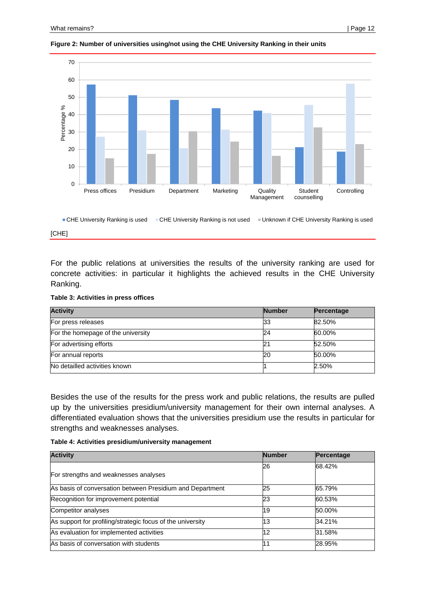

#### **Figure 2: Number of universities using/not using the CHE University Ranking in their units**



#### [CHE]

For the public relations at universities the results of the university ranking are used for concrete activities: in particular it highlights the achieved results in the CHE University Ranking.

#### **Table 3: Activities in press offices**

| <b>Activity</b>                    | <b>Number</b> | Percentage |
|------------------------------------|---------------|------------|
| For press releases                 | 33            | 82.50%     |
| For the homepage of the university | 24            | 60.00%     |
| For advertising efforts            |               | 52.50%     |
| For annual reports                 | 20            | 50.00%     |
| No detailled activities known      |               | 2.50%      |

Besides the use of the results for the press work and public relations, the results are pulled up by the universities presidium/university management for their own internal analyses. A differentiated evaluation shows that the universities presidium use the results in particular for strengths and weaknesses analyses.

**Table 4: Activities presidium/university management** 

| <b>Activity</b>                                            | <b>Number</b> | Percentage |
|------------------------------------------------------------|---------------|------------|
| For strengths and weaknesses analyses                      | 26            | 68.42%     |
| As basis of conversation between Presidium and Department  | 25            | 65.79%     |
| Recognition for improvement potential                      | 23            | 60.53%     |
| Competitor analyses                                        | 19            | 50.00%     |
| As support for profiling/strategic focus of the university | 13            | 34.21%     |
| As evaluation for implemented activities                   | 12            | 31.58%     |
| As basis of conversation with students                     | 11            | 28.95%     |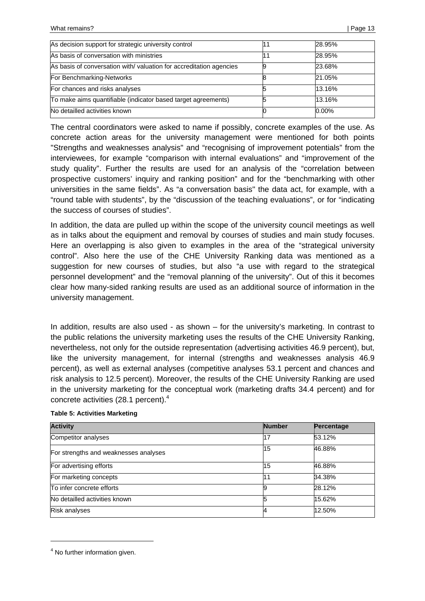| As decision support for strategic university control                | 28.95%   |
|---------------------------------------------------------------------|----------|
| As basis of conversation with ministries                            | 28.95%   |
| As basis of conversation with/ valuation for accreditation agencies | 23.68%   |
| For Benchmarking-Networks                                           | 21.05%   |
| For chances and risks analyses                                      | 13.16%   |
| To make aims quantifiable (indicator based target agreements)       | 13.16%   |
| No detailled activities known                                       | $0.00\%$ |

The central coordinators were asked to name if possibly, concrete examples of the use. As concrete action areas for the university management were mentioned for both points "Strengths and weaknesses analysis" and "recognising of improvement potentials" from the interviewees, for example "comparison with internal evaluations" and "improvement of the study quality". Further the results are used for an analysis of the "correlation between prospective customers' inquiry and ranking position" and for the "benchmarking with other universities in the same fields". As "a conversation basis" the data act, for example, with a "round table with students", by the "discussion of the teaching evaluations", or for "indicating the success of courses of studies".

In addition, the data are pulled up within the scope of the university council meetings as well as in talks about the equipment and removal by courses of studies and main study focuses. Here an overlapping is also given to examples in the area of the "strategical university control". Also here the use of the CHE University Ranking data was mentioned as a suggestion for new courses of studies, but also "a use with regard to the strategical personnel development" and the "removal planning of the university". Out of this it becomes clear how many-sided ranking results are used as an additional source of information in the university management.

In addition, results are also used - as shown – for the university's marketing. In contrast to the public relations the university marketing uses the results of the CHE University Ranking, nevertheless, not only for the outside representation (advertising activities 46.9 percent), but, like the university management, for internal (strengths and weaknesses analysis 46.9 percent), as well as external analyses (competitive analyses 53.1 percent and chances and risk analysis to 12.5 percent). Moreover, the results of the CHE University Ranking are used in the university marketing for the conceptual work (marketing drafts 34.4 percent) and for concrete activities (28.1 percent).4

| <b>Activity</b>                       | <b>Number</b> | Percentage |
|---------------------------------------|---------------|------------|
| Competitor analyses                   | 17            | 53.12%     |
| For strengths and weaknesses analyses | 15            | 46.88%     |
| For advertising efforts               | 15            | 46.88%     |
| For marketing concepts                |               | 34.38%     |
| To infer concrete efforts             |               | 28.12%     |
| No detailled activities known         | 5             | 15.62%     |
| <b>Risk analyses</b>                  |               | 12.50%     |

#### **Table 5: Activities Marketing**

<sup>&</sup>lt;sup>4</sup> No further information given.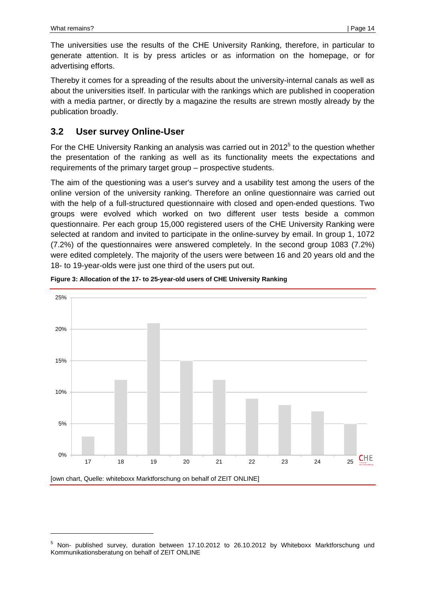The universities use the results of the CHE University Ranking, therefore, in particular to generate attention. It is by press articles or as information on the homepage, or for advertising efforts.

Thereby it comes for a spreading of the results about the university-internal canals as well as about the universities itself. In particular with the rankings which are published in cooperation with a media partner, or directly by a magazine the results are strewn mostly already by the publication broadly.

## **3.2 User survey Online-User**

For the CHE University Ranking an analysis was carried out in 2012 $<sup>5</sup>$  to the question whether</sup> the presentation of the ranking as well as its functionality meets the expectations and requirements of the primary target group – prospective students.

The aim of the questioning was a user's survey and a usability test among the users of the online version of the university ranking. Therefore an online questionnaire was carried out with the help of a full-structured questionnaire with closed and open-ended questions. Two groups were evolved which worked on two different user tests beside a common questionnaire. Per each group 15,000 registered users of the CHE University Ranking were selected at random and invited to participate in the online-survey by email. In group 1, 1072 (7.2%) of the questionnaires were answered completely. In the second group 1083 (7.2%) were edited completely. The majority of the users were between 16 and 20 years old and the 18- to 19-year-olds were just one third of the users put out.





<sup>&</sup>lt;sup>5</sup> Non- published survey, duration between 17.10.2012 to 26.10.2012 by Whiteboxx Marktforschung und Kommunikationsberatung on behalf of ZEIT ONLINE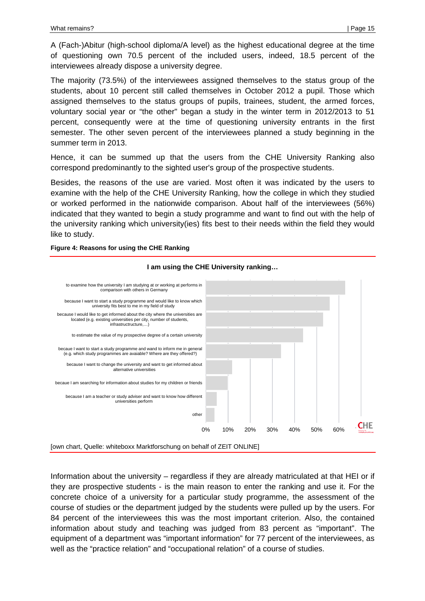A (Fach-)Abitur (high-school diploma/A level) as the highest educational degree at the time of questioning own 70.5 percent of the included users, indeed, 18.5 percent of the interviewees already dispose a university degree.

The majority (73.5%) of the interviewees assigned themselves to the status group of the students, about 10 percent still called themselves in October 2012 a pupil. Those which assigned themselves to the status groups of pupils, trainees, student, the armed forces, voluntary social year or "the other" began a study in the winter term in 2012/2013 to 51 percent, consequently were at the time of questioning university entrants in the first semester. The other seven percent of the interviewees planned a study beginning in the summer term in 2013.

Hence, it can be summed up that the users from the CHE University Ranking also correspond predominantly to the sighted user's group of the prospective students.

Besides, the reasons of the use are varied. Most often it was indicated by the users to examine with the help of the CHE University Ranking, how the college in which they studied or worked performed in the nationwide comparison. About half of the interviewees (56%) indicated that they wanted to begin a study programme and want to find out with the help of the university ranking which university(ies) fits best to their needs within the field they would like to study.

**Figure 4: Reasons for using the CHE Ranking** 



#### **I am using the CHE University ranking…**

Information about the university – regardless if they are already matriculated at that HEI or if they are prospective students - is the main reason to enter the ranking and use it. For the concrete choice of a university for a particular study programme, the assessment of the course of studies or the department judged by the students were pulled up by the users. For 84 percent of the interviewees this was the most important criterion. Also, the contained information about study and teaching was judged from 83 percent as "important". The equipment of a department was "important information" for 77 percent of the interviewees, as well as the "practice relation" and "occupational relation" of a course of studies.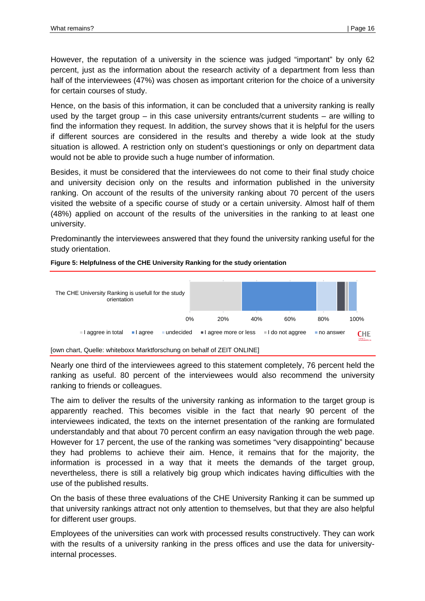However, the reputation of a university in the science was judged "important" by only 62 percent, just as the information about the research activity of a department from less than half of the interviewees (47%) was chosen as important criterion for the choice of a university for certain courses of study.

Hence, on the basis of this information, it can be concluded that a university ranking is really used by the target group – in this case university entrants/current students – are willing to find the information they request. In addition, the survey shows that it is helpful for the users if different sources are considered in the results and thereby a wide look at the study situation is allowed. A restriction only on student's questionings or only on department data would not be able to provide such a huge number of information.

Besides, it must be considered that the interviewees do not come to their final study choice and university decision only on the results and information published in the university ranking. On account of the results of the university ranking about 70 percent of the users visited the website of a specific course of study or a certain university. Almost half of them (48%) applied on account of the results of the universities in the ranking to at least one university.

Predominantly the interviewees answered that they found the university ranking useful for the study orientation.



**Figure 5: Helpfulness of the CHE University Ranking for the study orientation** 

Nearly one third of the interviewees agreed to this statement completely, 76 percent held the ranking as useful. 80 percent of the interviewees would also recommend the university ranking to friends or colleagues.

The aim to deliver the results of the university ranking as information to the target group is apparently reached. This becomes visible in the fact that nearly 90 percent of the interviewees indicated, the texts on the internet presentation of the ranking are formulated understandably and that about 70 percent confirm an easy navigation through the web page. However for 17 percent, the use of the ranking was sometimes "very disappointing" because they had problems to achieve their aim. Hence, it remains that for the majority, the information is processed in a way that it meets the demands of the target group, nevertheless, there is still a relatively big group which indicates having difficulties with the use of the published results.

On the basis of these three evaluations of the CHE University Ranking it can be summed up that university rankings attract not only attention to themselves, but that they are also helpful for different user groups.

Employees of the universities can work with processed results constructively. They can work with the results of a university ranking in the press offices and use the data for universityinternal processes.

<sup>[</sup>own chart, Quelle: whiteboxx Marktforschung on behalf of ZEIT ONLINE]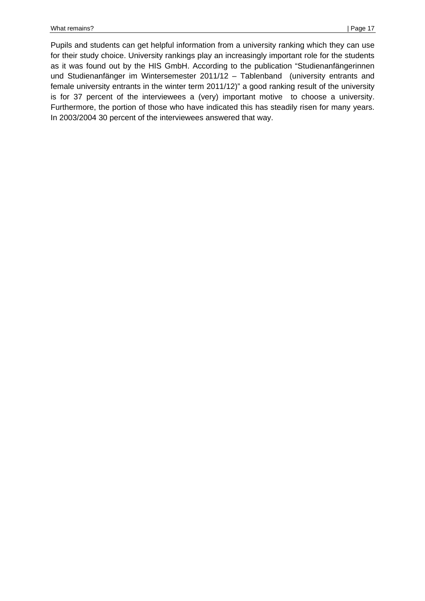Pupils and students can get helpful information from a university ranking which they can use for their study choice. University rankings play an increasingly important role for the students as it was found out by the HIS GmbH. According to the publication "Studienanfängerinnen und Studienanfänger im Wintersemester 2011/12 – Tablenband (university entrants and female university entrants in the winter term 2011/12)" a good ranking result of the university is for 37 percent of the interviewees a (very) important motive to choose a university. Furthermore, the portion of those who have indicated this has steadily risen for many years. In 2003/2004 30 percent of the interviewees answered that way.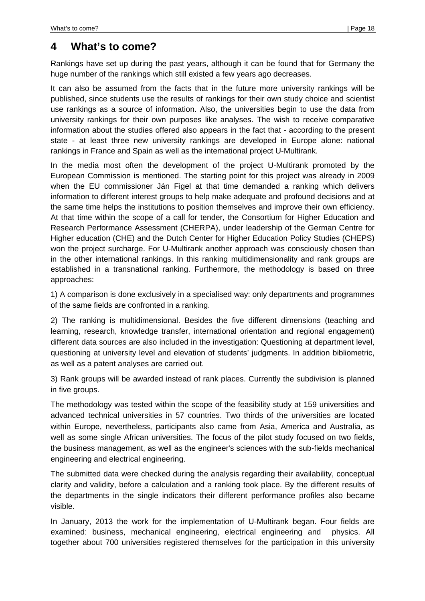## **4 What's to come?**

Rankings have set up during the past years, although it can be found that for Germany the huge number of the rankings which still existed a few years ago decreases.

It can also be assumed from the facts that in the future more university rankings will be published, since students use the results of rankings for their own study choice and scientist use rankings as a source of information. Also, the universities begin to use the data from university rankings for their own purposes like analyses. The wish to receive comparative information about the studies offered also appears in the fact that - according to the present state - at least three new university rankings are developed in Europe alone: national rankings in France and Spain as well as the international project U-Multirank.

In the media most often the development of the project U-Multirank promoted by the European Commission is mentioned. The starting point for this project was already in 2009 when the EU commissioner Ján Figel at that time demanded a ranking which delivers information to different interest groups to help make adequate and profound decisions and at the same time helps the institutions to position themselves and improve their own efficiency. At that time within the scope of a call for tender, the Consortium for Higher Education and Research Performance Assessment (CHERPA), under leadership of the German Centre for Higher education (CHE) and the Dutch Center for Higher Education Policy Studies (CHEPS) won the project surcharge. For U-Multirank another approach was consciously chosen than in the other international rankings. In this ranking multidimensionality and rank groups are established in a transnational ranking. Furthermore, the methodology is based on three approaches:

1) A comparison is done exclusively in a specialised way: only departments and programmes of the same fields are confronted in a ranking.

2) The ranking is multidimensional. Besides the five different dimensions (teaching and learning, research, knowledge transfer, international orientation and regional engagement) different data sources are also included in the investigation: Questioning at department level, questioning at university level and elevation of students' judgments. In addition bibliometric, as well as a patent analyses are carried out.

3) Rank groups will be awarded instead of rank places. Currently the subdivision is planned in five groups.

The methodology was tested within the scope of the feasibility study at 159 universities and advanced technical universities in 57 countries. Two thirds of the universities are located within Europe, nevertheless, participants also came from Asia, America and Australia, as well as some single African universities. The focus of the pilot study focused on two fields, the business management, as well as the engineer's sciences with the sub-fields mechanical engineering and electrical engineering.

The submitted data were checked during the analysis regarding their availability, conceptual clarity and validity, before a calculation and a ranking took place. By the different results of the departments in the single indicators their different performance profiles also became visible.

In January, 2013 the work for the implementation of U-Multirank began. Four fields are examined: business, mechanical engineering, electrical engineering and physics. All together about 700 universities registered themselves for the participation in this university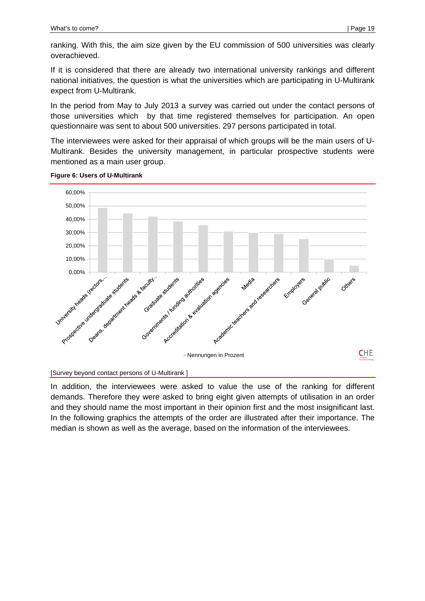ranking. With this, the aim size given by the EU commission of 500 universities was clearly overachieved.

If it is considered that there are already two international university rankings and different national initiatives, the question is what the universities which are participating in U-Multirank expect from U-Multirank.

In the period from May to July 2013 a survey was carried out under the contact persons of those universities which by that time registered themselves for participation. An open questionnaire was sent to about 500 universities. 297 persons participated in total.

The interviewees were asked for their appraisal of which groups will be the main users of U-Multirank. Besides the university management, in particular prospective students were mentioned as a main user group.



#### **Figure 6: Users of U-Multirank**

[Survey beyond contact persons of U-Multirank ]

In addition, the interviewees were asked to value the use of the ranking for different demands. Therefore they were asked to bring eight given attempts of utilisation in an order and they should name the most important in their opinion first and the most insignificant last. In the following graphics the attempts of the order are illustrated after their importance. The median is shown as well as the average, based on the information of the interviewees.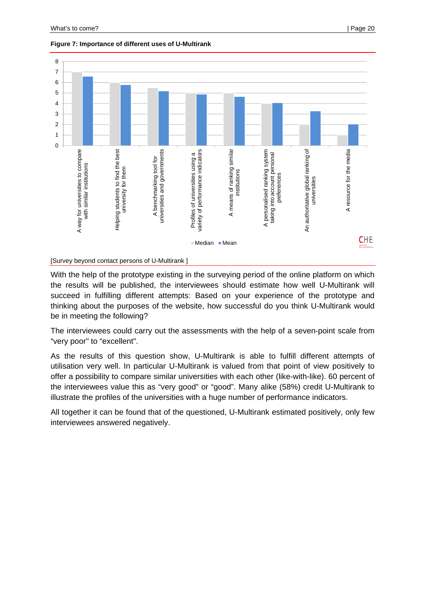

#### **Figure 7: Importance of different uses of U-Multirank**

With the help of the prototype existing in the surveying period of the online platform on which the results will be published, the interviewees should estimate how well U-Multirank will succeed in fulfilling different attempts: Based on your experience of the prototype and thinking about the purposes of the website, how successful do you think U-Multirank would be in meeting the following?

The interviewees could carry out the assessments with the help of a seven-point scale from "very poor" to "excellent".

As the results of this question show, U-Multirank is able to fulfill different attempts of utilisation very well. In particular U-Multirank is valued from that point of view positively to offer a possibility to compare similar universities with each other (like-with-like). 60 percent of the interviewees value this as "very good" or "good". Many alike (58%) credit U-Multirank to illustrate the profiles of the universities with a huge number of performance indicators.

All together it can be found that of the questioned, U-Multirank estimated positively, only few interviewees answered negatively.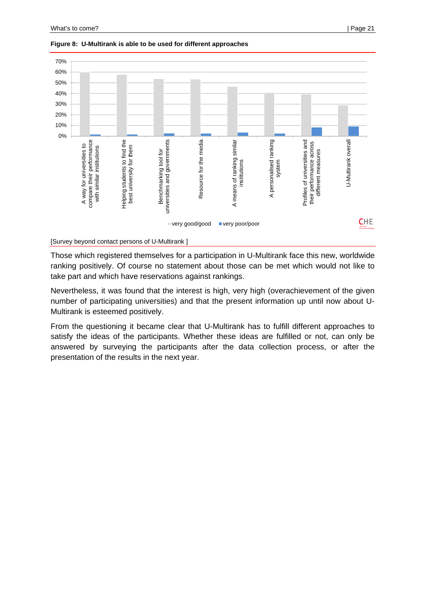

#### **Figure 8: U-Multirank is able to be used for different approaches**

[Survey beyond contact persons of U-Multirank ]

Those which registered themselves for a participation in U-Multirank face this new, worldwide ranking positively. Of course no statement about those can be met which would not like to take part and which have reservations against rankings.

Nevertheless, it was found that the interest is high, very high (overachievement of the given number of participating universities) and that the present information up until now about U-Multirank is esteemed positively.

From the questioning it became clear that U-Multirank has to fulfill different approaches to satisfy the ideas of the participants. Whether these ideas are fulfilled or not, can only be answered by surveying the participants after the data collection process, or after the presentation of the results in the next year.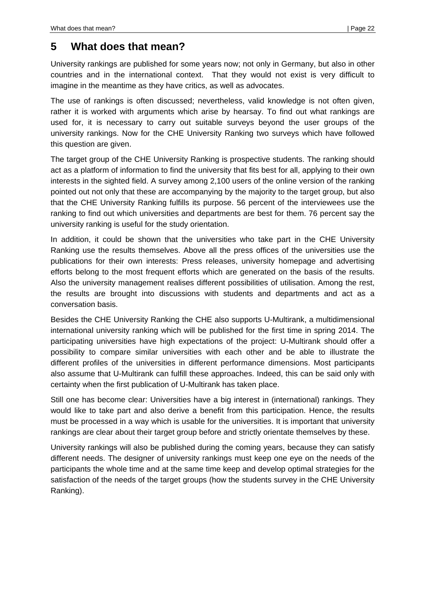## **5 What does that mean?**

University rankings are published for some years now; not only in Germany, but also in other countries and in the international context. That they would not exist is very difficult to imagine in the meantime as they have critics, as well as advocates.

The use of rankings is often discussed; nevertheless, valid knowledge is not often given, rather it is worked with arguments which arise by hearsay. To find out what rankings are used for, it is necessary to carry out suitable surveys beyond the user groups of the university rankings. Now for the CHE University Ranking two surveys which have followed this question are given.

The target group of the CHE University Ranking is prospective students. The ranking should act as a platform of information to find the university that fits best for all, applying to their own interests in the sighted field. A survey among 2,100 users of the online version of the ranking pointed out not only that these are accompanying by the majority to the target group, but also that the CHE University Ranking fulfills its purpose. 56 percent of the interviewees use the ranking to find out which universities and departments are best for them. 76 percent say the university ranking is useful for the study orientation.

In addition, it could be shown that the universities who take part in the CHE University Ranking use the results themselves. Above all the press offices of the universities use the publications for their own interests: Press releases, university homepage and advertising efforts belong to the most frequent efforts which are generated on the basis of the results. Also the university management realises different possibilities of utilisation. Among the rest, the results are brought into discussions with students and departments and act as a conversation basis.

Besides the CHE University Ranking the CHE also supports U-Multirank, a multidimensional international university ranking which will be published for the first time in spring 2014. The participating universities have high expectations of the project: U-Multirank should offer a possibility to compare similar universities with each other and be able to illustrate the different profiles of the universities in different performance dimensions. Most participants also assume that U-Multirank can fulfill these approaches. Indeed, this can be said only with certainty when the first publication of U-Multirank has taken place.

Still one has become clear: Universities have a big interest in (international) rankings. They would like to take part and also derive a benefit from this participation. Hence, the results must be processed in a way which is usable for the universities. It is important that university rankings are clear about their target group before and strictly orientate themselves by these.

University rankings will also be published during the coming years, because they can satisfy different needs. The designer of university rankings must keep one eye on the needs of the participants the whole time and at the same time keep and develop optimal strategies for the satisfaction of the needs of the target groups (how the students survey in the CHE University Ranking).